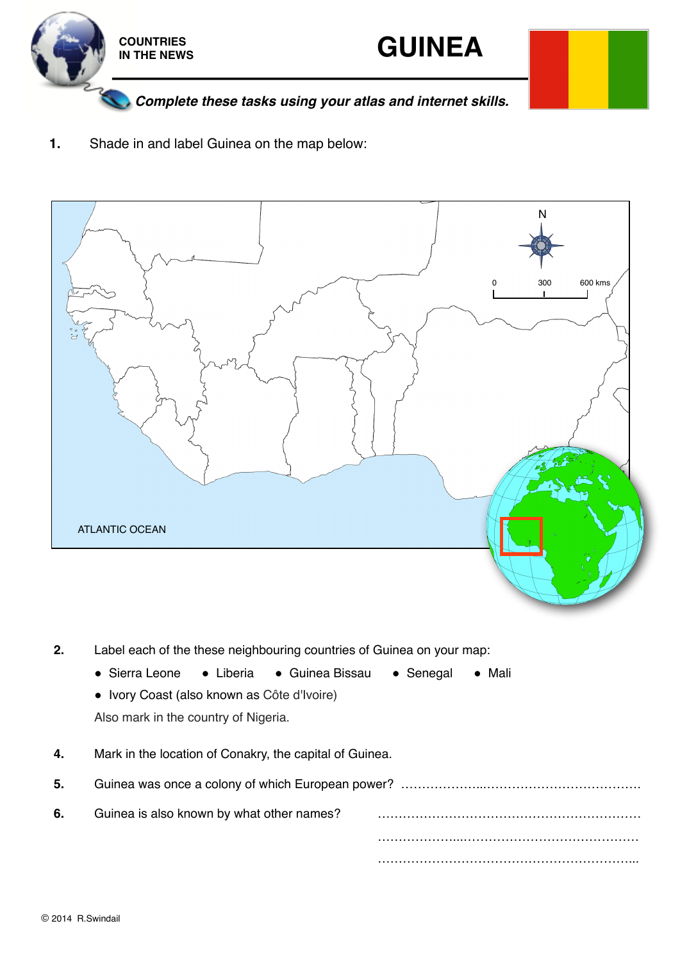



*Complete these tasks using your atlas and internet skills.*

**1.** Shade in and label Guinea on the map below:



- **2.** Label each of the these neighbouring countries of Guinea on your map:
	- Sierra Leone Liberia Guinea Bissau Senegal Mali
	- $\bullet$  Ivory Coast (also known as Côte d'Ivoire)
	- Also mark in the country of Nigeria.
- **4.** Mark in the location of Conakry, the capital of Guinea.
- **5.** Guinea was once a colony of which European power? ………………...………………………………. **6.** Guinea is also known by what other names? ! ! ! ! ! ! ! ! ………………...…………………………………… …………………………………………………………………………